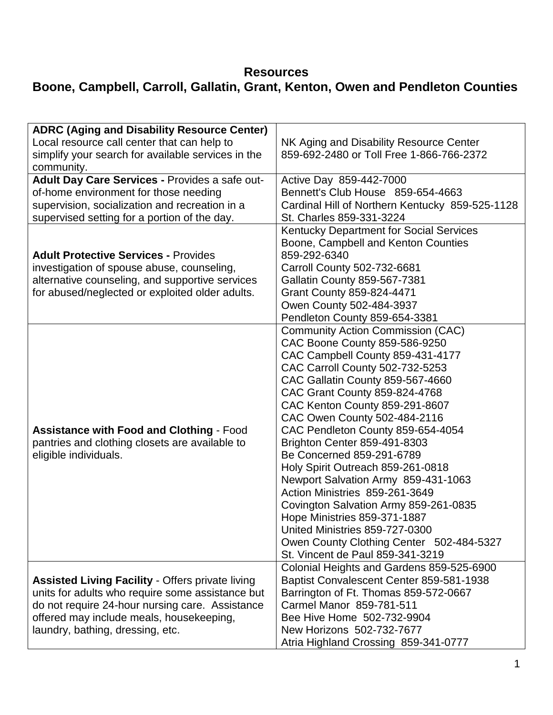## **Resources**

## **Boone, Campbell, Carroll, Gallatin, Grant, Kenton, Owen and Pendleton Counties**

| <b>ADRC (Aging and Disability Resource Center)</b>      |                                                 |
|---------------------------------------------------------|-------------------------------------------------|
| Local resource call center that can help to             | NK Aging and Disability Resource Center         |
| simplify your search for available services in the      | 859-692-2480 or Toll Free 1-866-766-2372        |
| community.                                              |                                                 |
| Adult Day Care Services - Provides a safe out-          | Active Day 859-442-7000                         |
| of-home environment for those needing                   | Bennett's Club House 859-654-4663               |
| supervision, socialization and recreation in a          | Cardinal Hill of Northern Kentucky 859-525-1128 |
| supervised setting for a portion of the day.            | St. Charles 859-331-3224                        |
|                                                         | <b>Kentucky Department for Social Services</b>  |
|                                                         | Boone, Campbell and Kenton Counties             |
| <b>Adult Protective Services - Provides</b>             | 859-292-6340                                    |
| investigation of spouse abuse, counseling,              | Carroll County 502-732-6681                     |
| alternative counseling, and supportive services         | <b>Gallatin County 859-567-7381</b>             |
| for abused/neglected or exploited older adults.         | <b>Grant County 859-824-4471</b>                |
|                                                         | Owen County 502-484-3937                        |
|                                                         | Pendleton County 859-654-3381                   |
|                                                         | <b>Community Action Commission (CAC)</b>        |
|                                                         | CAC Boone County 859-586-9250                   |
|                                                         | CAC Campbell County 859-431-4177                |
|                                                         | CAC Carroll County 502-732-5253                 |
|                                                         | CAC Gallatin County 859-567-4660                |
|                                                         | CAC Grant County 859-824-4768                   |
|                                                         | CAC Kenton County 859-291-8607                  |
|                                                         | CAC Owen County 502-484-2116                    |
| <b>Assistance with Food and Clothing - Food</b>         | CAC Pendleton County 859-654-4054               |
| pantries and clothing closets are available to          | Brighton Center 859-491-8303                    |
| eligible individuals.                                   | Be Concerned 859-291-6789                       |
|                                                         | Holy Spirit Outreach 859-261-0818               |
|                                                         | Newport Salvation Army 859-431-1063             |
|                                                         | Action Ministries 859-261-3649                  |
|                                                         | Covington Salvation Army 859-261-0835           |
|                                                         | Hope Ministries 859-371-1887                    |
|                                                         | United Ministries 859-727-0300                  |
|                                                         | Owen County Clothing Center 502-484-5327        |
|                                                         | St. Vincent de Paul 859-341-3219                |
|                                                         | Colonial Heights and Gardens 859-525-6900       |
| <b>Assisted Living Facility - Offers private living</b> | Baptist Convalescent Center 859-581-1938        |
| units for adults who require some assistance but        | Barrington of Ft. Thomas 859-572-0667           |
| do not require 24-hour nursing care. Assistance         | Carmel Manor 859-781-511                        |
| offered may include meals, housekeeping,                | Bee Hive Home 502-732-9904                      |
| laundry, bathing, dressing, etc.                        | New Horizons 502-732-7677                       |
|                                                         | Atria Highland Crossing 859-341-0777            |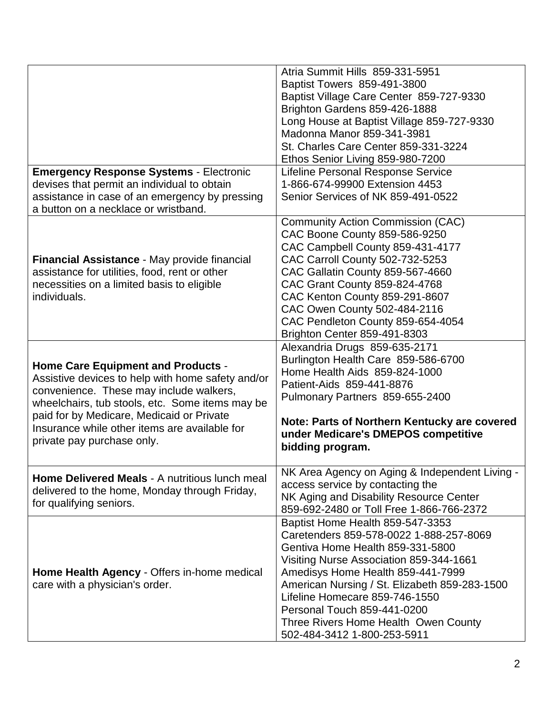|                                                                                                                                                                                                                                                                                                                          | Atria Summit Hills 859-331-5951<br>Baptist Towers 859-491-3800<br>Baptist Village Care Center 859-727-9330<br>Brighton Gardens 859-426-1888<br>Long House at Baptist Village 859-727-9330                                                                                                                                                                                                |
|--------------------------------------------------------------------------------------------------------------------------------------------------------------------------------------------------------------------------------------------------------------------------------------------------------------------------|------------------------------------------------------------------------------------------------------------------------------------------------------------------------------------------------------------------------------------------------------------------------------------------------------------------------------------------------------------------------------------------|
|                                                                                                                                                                                                                                                                                                                          | Madonna Manor 859-341-3981<br><b>St. Charles Care Center 859-331-3224</b><br>Ethos Senior Living 859-980-7200                                                                                                                                                                                                                                                                            |
| <b>Emergency Response Systems - Electronic</b><br>devises that permit an individual to obtain<br>assistance in case of an emergency by pressing<br>a button on a necklace or wristband.                                                                                                                                  | Lifeline Personal Response Service<br>1-866-674-99900 Extension 4453<br>Senior Services of NK 859-491-0522                                                                                                                                                                                                                                                                               |
| <b>Financial Assistance - May provide financial</b><br>assistance for utilities, food, rent or other<br>necessities on a limited basis to eligible<br>individuals.                                                                                                                                                       | <b>Community Action Commission (CAC)</b><br>CAC Boone County 859-586-9250<br>CAC Campbell County 859-431-4177<br><b>CAC Carroll County 502-732-5253</b><br>CAC Gallatin County 859-567-4660<br>CAC Grant County 859-824-4768<br>CAC Kenton County 859-291-8607<br>CAC Owen County 502-484-2116<br>CAC Pendleton County 859-654-4054<br>Brighton Center 859-491-8303                      |
| <b>Home Care Equipment and Products -</b><br>Assistive devices to help with home safety and/or<br>convenience. These may include walkers,<br>wheelchairs, tub stools, etc. Some items may be<br>paid for by Medicare, Medicaid or Private<br>Insurance while other items are available for<br>private pay purchase only. | Alexandria Drugs 859-635-2171<br>Burlington Health Care 859-586-6700<br>Home Health Aids 859-824-1000<br>Patient-Aids 859-441-8876<br>Pulmonary Partners 859-655-2400<br>Note: Parts of Northern Kentucky are covered<br>under Medicare's DMEPOS competitive<br>bidding program.                                                                                                         |
| <b>Home Delivered Meals - A nutritious lunch meal</b><br>delivered to the home, Monday through Friday,<br>for qualifying seniors.                                                                                                                                                                                        | NK Area Agency on Aging & Independent Living -<br>access service by contacting the<br>NK Aging and Disability Resource Center<br>859-692-2480 or Toll Free 1-866-766-2372                                                                                                                                                                                                                |
| Home Health Agency - Offers in-home medical<br>care with a physician's order.                                                                                                                                                                                                                                            | Baptist Home Health 859-547-3353<br>Caretenders 859-578-0022 1-888-257-8069<br>Gentiva Home Health 859-331-5800<br>Visiting Nurse Association 859-344-1661<br>Amedisys Home Health 859-441-7999<br>American Nursing / St. Elizabeth 859-283-1500<br>Lifeline Homecare 859-746-1550<br>Personal Touch 859-441-0200<br>Three Rivers Home Health Owen County<br>502-484-3412 1-800-253-5911 |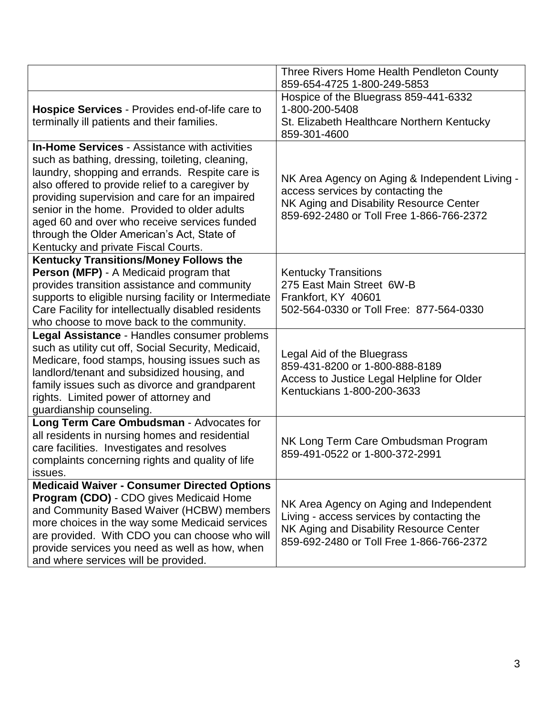|                                                                                                                                                                                                                                                                                                                                                                                                                                                      | Three Rivers Home Health Pendleton County<br>859-654-4725 1-800-249-5853                                                                                                     |
|------------------------------------------------------------------------------------------------------------------------------------------------------------------------------------------------------------------------------------------------------------------------------------------------------------------------------------------------------------------------------------------------------------------------------------------------------|------------------------------------------------------------------------------------------------------------------------------------------------------------------------------|
| <b>Hospice Services - Provides end-of-life care to</b><br>terminally ill patients and their families.                                                                                                                                                                                                                                                                                                                                                | Hospice of the Bluegrass 859-441-6332<br>1-800-200-5408<br>St. Elizabeth Healthcare Northern Kentucky<br>859-301-4600                                                        |
| <b>In-Home Services - Assistance with activities</b><br>such as bathing, dressing, toileting, cleaning,<br>laundry, shopping and errands. Respite care is<br>also offered to provide relief to a caregiver by<br>providing supervision and care for an impaired<br>senior in the home. Provided to older adults<br>aged 60 and over who receive services funded<br>through the Older American's Act, State of<br>Kentucky and private Fiscal Courts. | NK Area Agency on Aging & Independent Living -<br>access services by contacting the<br>NK Aging and Disability Resource Center<br>859-692-2480 or Toll Free 1-866-766-2372   |
| <b>Kentucky Transitions/Money Follows the</b><br>Person (MFP) - A Medicaid program that<br>provides transition assistance and community<br>supports to eligible nursing facility or Intermediate<br>Care Facility for intellectually disabled residents<br>who choose to move back to the community.                                                                                                                                                 | <b>Kentucky Transitions</b><br>275 East Main Street 6W-B<br>Frankfort, KY 40601<br>502-564-0330 or Toll Free: 877-564-0330                                                   |
| Legal Assistance - Handles consumer problems<br>such as utility cut off, Social Security, Medicaid,<br>Medicare, food stamps, housing issues such as<br>landlord/tenant and subsidized housing, and<br>family issues such as divorce and grandparent<br>rights. Limited power of attorney and<br>guardianship counseling.                                                                                                                            | Legal Aid of the Bluegrass<br>859-431-8200 or 1-800-888-8189<br>Access to Justice Legal Helpline for Older<br>Kentuckians 1-800-200-3633                                     |
| Long Term Care Ombudsman - Advocates for<br>all residents in nursing homes and residential<br>care facilities. Investigates and resolves<br>complaints concerning rights and quality of life<br>issues.                                                                                                                                                                                                                                              | NK Long Term Care Ombudsman Program<br>859-491-0522 or 1-800-372-2991                                                                                                        |
| <b>Medicaid Waiver - Consumer Directed Options</b><br>Program (CDO) - CDO gives Medicaid Home<br>and Community Based Waiver (HCBW) members<br>more choices in the way some Medicaid services<br>are provided. With CDO you can choose who will<br>provide services you need as well as how, when<br>and where services will be provided.                                                                                                             | NK Area Agency on Aging and Independent<br>Living - access services by contacting the<br>NK Aging and Disability Resource Center<br>859-692-2480 or Toll Free 1-866-766-2372 |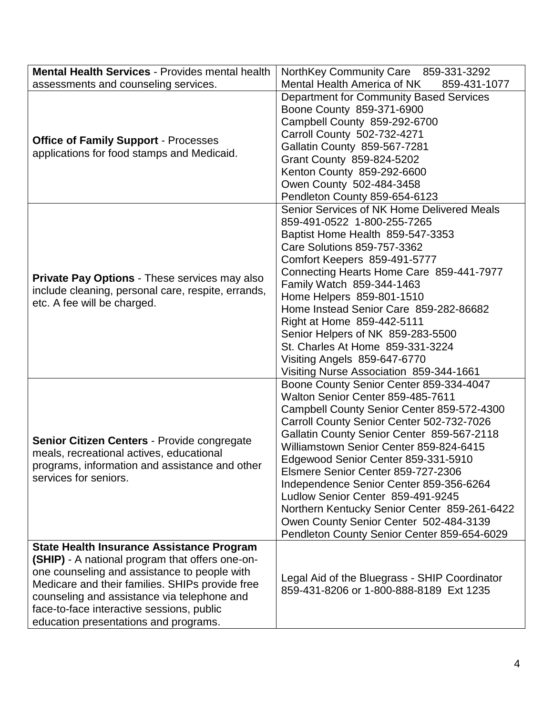| <b>Mental Health Services - Provides mental health</b>                                                                                                                                                                                                                                                                                      | NorthKey Community Care 859-331-3292                                                                                                                                                                                                                                                                                                                                                                                                                                                                                                                                   |
|---------------------------------------------------------------------------------------------------------------------------------------------------------------------------------------------------------------------------------------------------------------------------------------------------------------------------------------------|------------------------------------------------------------------------------------------------------------------------------------------------------------------------------------------------------------------------------------------------------------------------------------------------------------------------------------------------------------------------------------------------------------------------------------------------------------------------------------------------------------------------------------------------------------------------|
| assessments and counseling services.                                                                                                                                                                                                                                                                                                        | Mental Health America of NK<br>859-431-1077                                                                                                                                                                                                                                                                                                                                                                                                                                                                                                                            |
| <b>Office of Family Support - Processes</b><br>applications for food stamps and Medicaid.                                                                                                                                                                                                                                                   | Department for Community Based Services<br>Boone County 859-371-6900<br>Campbell County 859-292-6700<br>Carroll County 502-732-4271<br>Gallatin County 859-567-7281<br>Grant County 859-824-5202<br>Kenton County 859-292-6600<br>Owen County 502-484-3458<br>Pendleton County 859-654-6123                                                                                                                                                                                                                                                                            |
| <b>Private Pay Options - These services may also</b><br>include cleaning, personal care, respite, errands,<br>etc. A fee will be charged.                                                                                                                                                                                                   | Senior Services of NK Home Delivered Meals<br>859-491-0522 1-800-255-7265<br>Baptist Home Health 859-547-3353<br>Care Solutions 859-757-3362<br>Comfort Keepers 859-491-5777<br>Connecting Hearts Home Care 859-441-7977<br>Family Watch 859-344-1463<br>Home Helpers 859-801-1510<br>Home Instead Senior Care 859-282-86682<br>Right at Home 859-442-5111<br>Senior Helpers of NK 859-283-5500<br>St. Charles At Home 859-331-3224<br>Visiting Angels 859-647-6770<br>Visiting Nurse Association 859-344-1661                                                         |
| <b>Senior Citizen Centers - Provide congregate</b><br>meals, recreational actives, educational<br>programs, information and assistance and other<br>services for seniors.                                                                                                                                                                   | Boone County Senior Center 859-334-4047<br>Walton Senior Center 859-485-7611<br>Campbell County Senior Center 859-572-4300<br>Carroll County Senior Center 502-732-7026<br>Gallatin County Senior Center 859-567-2118<br>Williamstown Senior Center 859-824-6415<br>Edgewood Senior Center 859-331-5910<br>Elsmere Senior Center 859-727-2306<br>Independence Senior Center 859-356-6264<br>Ludlow Senior Center 859-491-9245<br>Northern Kentucky Senior Center 859-261-6422<br>Owen County Senior Center 502-484-3139<br>Pendleton County Senior Center 859-654-6029 |
| <b>State Health Insurance Assistance Program</b><br>(SHIP) - A national program that offers one-on-<br>one counseling and assistance to people with<br>Medicare and their families. SHIPs provide free<br>counseling and assistance via telephone and<br>face-to-face interactive sessions, public<br>education presentations and programs. | Legal Aid of the Bluegrass - SHIP Coordinator<br>859-431-8206 or 1-800-888-8189 Ext 1235                                                                                                                                                                                                                                                                                                                                                                                                                                                                               |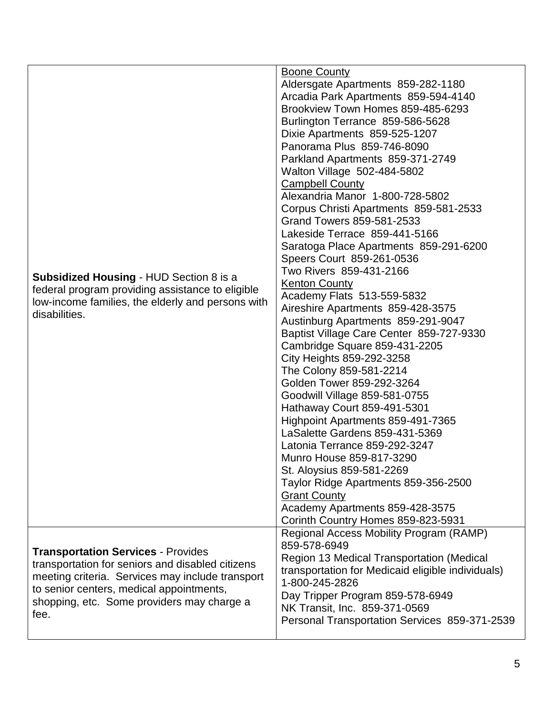| <b>Subsidized Housing - HUD Section 8 is a</b><br>federal program providing assistance to eligible<br>low-income families, the elderly and persons with<br>disabilities.                                                                            | <b>Boone County</b><br>Aldersgate Apartments 859-282-1180<br>Arcadia Park Apartments 859-594-4140<br>Brookview Town Homes 859-485-6293<br>Burlington Terrance 859-586-5628<br>Dixie Apartments 859-525-1207<br>Panorama Plus 859-746-8090<br>Parkland Apartments 859-371-2749<br>Walton Village 502-484-5802<br><b>Campbell County</b><br>Alexandria Manor 1-800-728-5802<br>Corpus Christi Apartments 859-581-2533<br>Grand Towers 859-581-2533<br>Lakeside Terrace 859-441-5166<br>Saratoga Place Apartments 859-291-6200<br>Speers Court 859-261-0536<br>Two Rivers 859-431-2166<br><b>Kenton County</b><br>Academy Flats 513-559-5832<br>Aireshire Apartments 859-428-3575<br>Austinburg Apartments 859-291-9047<br>Baptist Village Care Center 859-727-9330<br>Cambridge Square 859-431-2205<br>City Heights 859-292-3258<br>The Colony 859-581-2214<br>Golden Tower 859-292-3264<br>Goodwill Village 859-581-0755<br>Hathaway Court 859-491-5301<br>Highpoint Apartments 859-491-7365<br>LaSalette Gardens 859-431-5369<br>Latonia Terrance 859-292-3247<br>Munro House 859-817-3290<br>St. Aloysius 859-581-2269<br>Taylor Ridge Apartments 859-356-2500<br><b>Grant County</b><br>Academy Apartments 859-428-3575<br>Corinth Country Homes 859-823-5931 |
|-----------------------------------------------------------------------------------------------------------------------------------------------------------------------------------------------------------------------------------------------------|-----------------------------------------------------------------------------------------------------------------------------------------------------------------------------------------------------------------------------------------------------------------------------------------------------------------------------------------------------------------------------------------------------------------------------------------------------------------------------------------------------------------------------------------------------------------------------------------------------------------------------------------------------------------------------------------------------------------------------------------------------------------------------------------------------------------------------------------------------------------------------------------------------------------------------------------------------------------------------------------------------------------------------------------------------------------------------------------------------------------------------------------------------------------------------------------------------------------------------------------------------------------|
| <b>Transportation Services - Provides</b><br>transportation for seniors and disabled citizens<br>meeting criteria. Services may include transport<br>to senior centers, medical appointments,<br>shopping, etc. Some providers may charge a<br>fee. | Regional Access Mobility Program (RAMP)<br>859-578-6949<br><b>Region 13 Medical Transportation (Medical</b><br>transportation for Medicaid eligible individuals)<br>1-800-245-2826<br>Day Tripper Program 859-578-6949<br>NK Transit, Inc. 859-371-0569<br>Personal Transportation Services 859-371-2539                                                                                                                                                                                                                                                                                                                                                                                                                                                                                                                                                                                                                                                                                                                                                                                                                                                                                                                                                        |